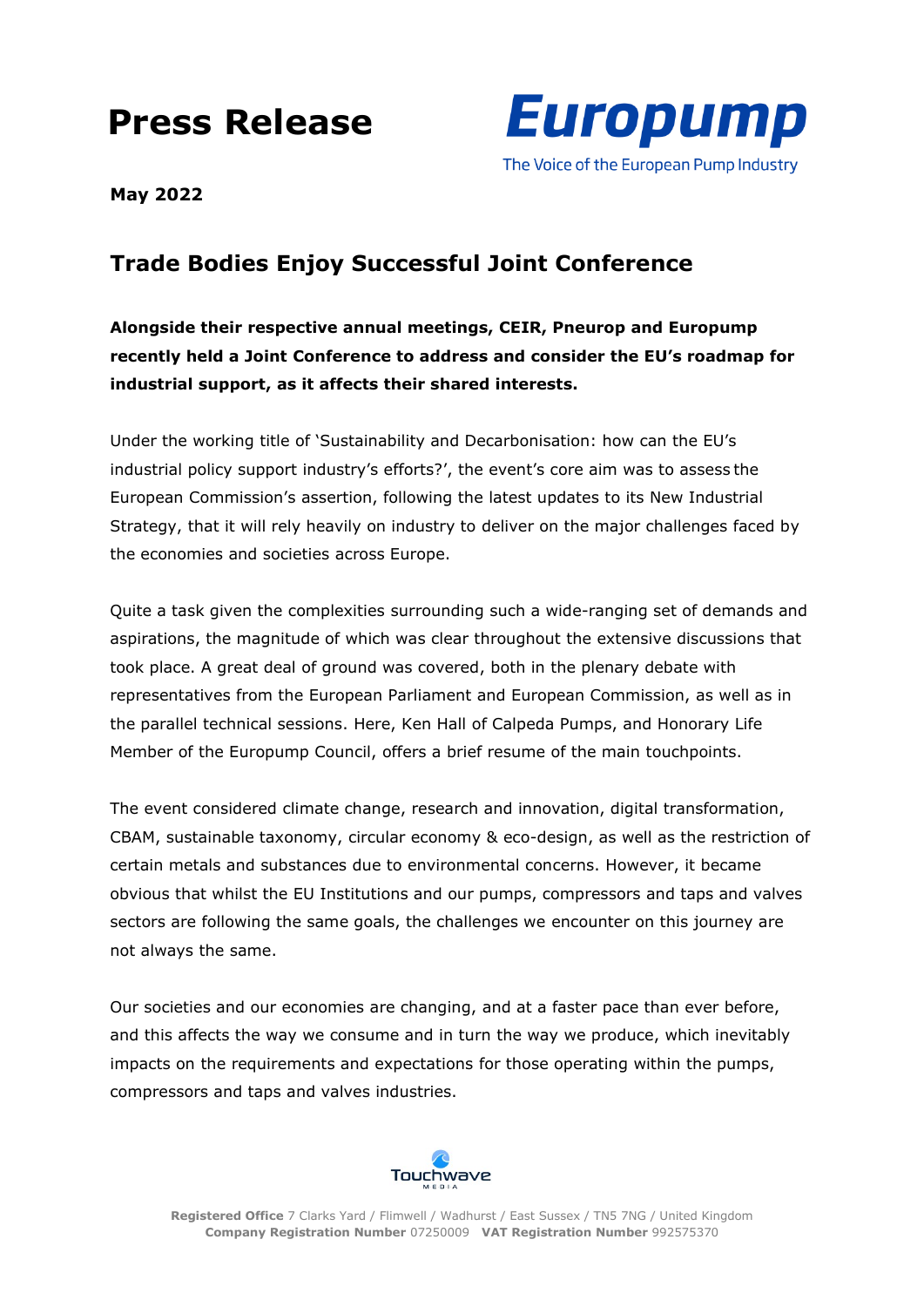# **Press Release**



**May 2022**

## **Trade Bodies Enjoy Successful Joint Conference**

**Alongside their respective annual meetings, CEIR, Pneurop and Europump recently held a Joint Conference to address and consider the EU's roadmap for industrial support, as it affects their shared interests.** 

Under the working title of 'Sustainability and Decarbonisation: how can the EU's industrial policy support industry's efforts?', the event's core aim was to assess the European Commission's assertion, following the latest updates to its New Industrial Strategy, that it will rely heavily on industry to deliver on the major challenges faced by the economies and societies across Europe.

Quite a task given the complexities surrounding such a wide-ranging set of demands and aspirations, the magnitude of which was clear throughout the extensive discussions that took place. A great deal of ground was covered, both in the plenary debate with representatives from the European Parliament and European Commission, as well as in the parallel technical sessions. Here, Ken Hall of Calpeda Pumps, and Honorary Life Member of the Europump Council, offers a brief resume of the main touchpoints.

The event considered climate change, research and innovation, digital transformation, CBAM, sustainable taxonomy, circular economy & eco-design, as well as the restriction of certain metals and substances due to environmental concerns. However, it became obvious that whilst the EU Institutions and our pumps, compressors and taps and valves sectors are following the same goals, the challenges we encounter on this journey are not always the same.

Our societies and our economies are changing, and at a faster pace than ever before, and this affects the way we consume and in turn the way we produce, which inevitably impacts on the requirements and expectations for those operating within the pumps, compressors and taps and valves industries.

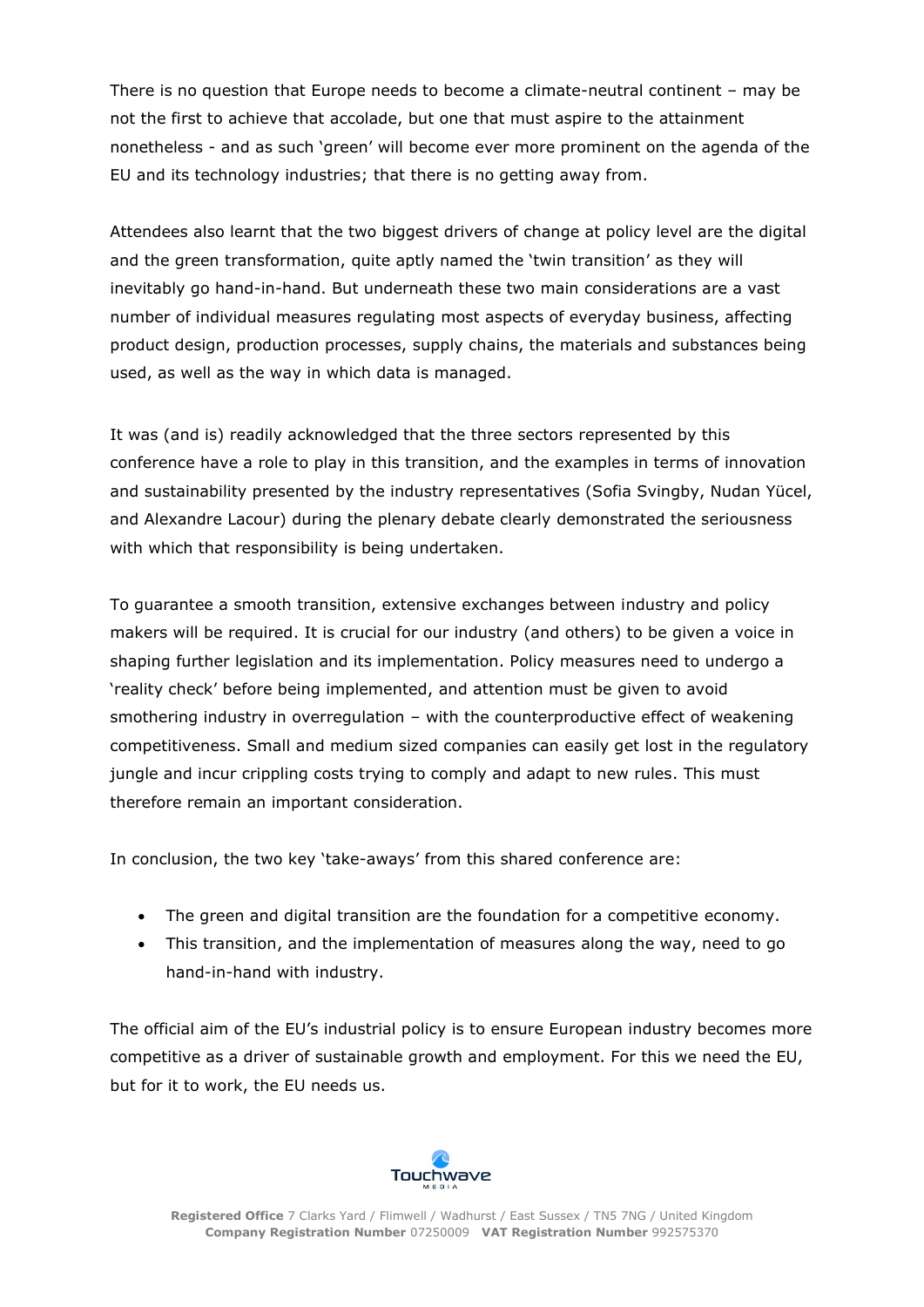There is no question that Europe needs to become a climate-neutral continent – may be not the first to achieve that accolade, but one that must aspire to the attainment nonetheless - and as such 'green' will become ever more prominent on the agenda of the EU and its technology industries; that there is no getting away from.

Attendees also learnt that the two biggest drivers of change at policy level are the digital and the green transformation, quite aptly named the 'twin transition' as they will inevitably go hand-in-hand. But underneath these two main considerations are a vast number of individual measures regulating most aspects of everyday business, affecting product design, production processes, supply chains, the materials and substances being used, as well as the way in which data is managed.

It was (and is) readily acknowledged that the three sectors represented by this conference have a role to play in this transition, and the examples in terms of innovation and sustainability presented by the industry representatives (Sofia Svingby, Nudan Yücel, and Alexandre Lacour) during the plenary debate clearly demonstrated the seriousness with which that responsibility is being undertaken.

To guarantee a smooth transition, extensive exchanges between industry and policy makers will be required. It is crucial for our industry (and others) to be given a voice in shaping further legislation and its implementation. Policy measures need to undergo a 'reality check' before being implemented, and attention must be given to avoid smothering industry in overregulation – with the counterproductive effect of weakening competitiveness. Small and medium sized companies can easily get lost in the regulatory jungle and incur crippling costs trying to comply and adapt to new rules. This must therefore remain an important consideration.

In conclusion, the two key 'take-aways' from this shared conference are:

- The green and digital transition are the foundation for a competitive economy.
- This transition, and the implementation of measures along the way, need to go hand-in-hand with industry.

The official aim of the EU's industrial policy is to ensure European industry becomes more competitive as a driver of sustainable growth and employment. For this we need the EU, but for it to work, the EU needs us.